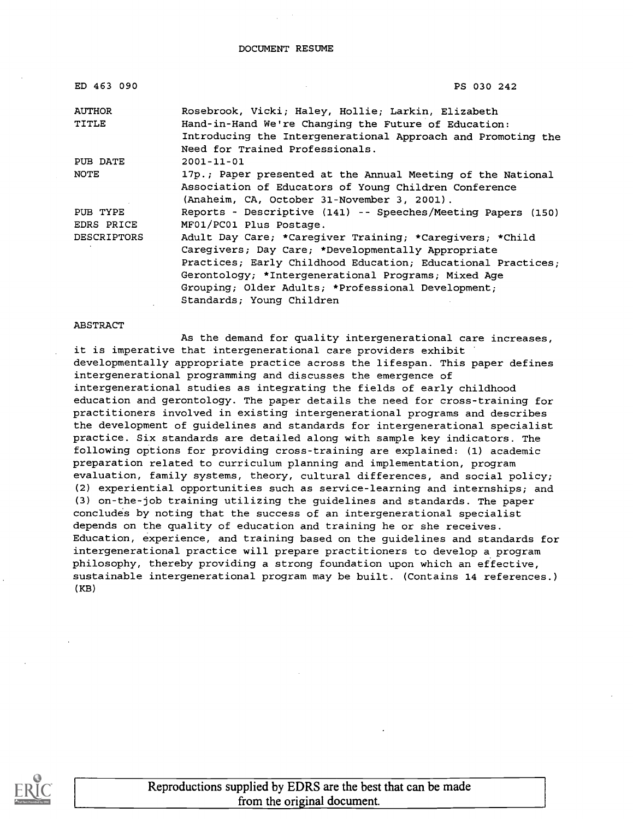DOCUMENT RESUME

| ED 463 090         | PS 030 242                                                   |
|--------------------|--------------------------------------------------------------|
| <b>AUTHOR</b>      | Rosebrook, Vicki; Haley, Hollie; Larkin, Elizabeth           |
| TITLE              | Hand-in-Hand We're Changing the Future of Education:         |
|                    | Introducing the Intergenerational Approach and Promoting the |
|                    | Need for Trained Professionals.                              |
| PUB DATE           | $2001 - 11 - 01$                                             |
| <b>NOTE</b>        | 17p.; Paper presented at the Annual Meeting of the National  |
|                    | Association of Educators of Young Children Conference        |
|                    | (Anaheim, CA, October 31-November 3, 2001).                  |
| PUB TYPE           | Reports - Descriptive (141) -- Speeches/Meeting Papers (150) |
| EDRS PRICE         | MF01/PC01 Plus Postage.                                      |
| <b>DESCRIPTORS</b> | Adult Day Care; *Caregiver Training; *Caregivers; *Child     |
|                    | Caregivers; Day Care; *Developmentally Appropriate           |
|                    | Practices; Early Childhood Education; Educational Practices; |
|                    | Gerontology; *Intergenerational Programs; Mixed Age          |
|                    | Grouping; Older Adults; *Professional Development;           |
|                    | Standards; Young Children                                    |

#### ABSTRACT

As the demand for quality intergenerational care increases, it is imperative that intergenerational care providers exhibit developmentally appropriate practice across the lifespan. This paper defines intergenerational programming and discusses the emergence of intergenerational studies as integrating the fields of early childhood education and gerontology. The paper details the need for cross-training for practitioners involved in existing intergenerational programs and describes the development of guidelines and standards for intergenerational specialist practice. Six standards are detailed along with sample key indicators. The following options for providing cross-training are explained: (1) academic preparation related to curriculum planning and implementation, program evaluation, family systems, theory, cultural differences, and social policy; (2) experiential opportunities such as service-learning and internships; and (3) on-the-job training utilizing the guidelines and standards. The paper concludes by noting that the success of an intergenerational specialist depends on the quality of education and training he or she receives. Education, experience, and training based on the guidelines and standards for intergenerational practice will prepare practitioners to develop a program philosophy, thereby providing a strong foundation upon which an effective, sustainable intergenerational program may be built. (Contains 14 references.) (KB)

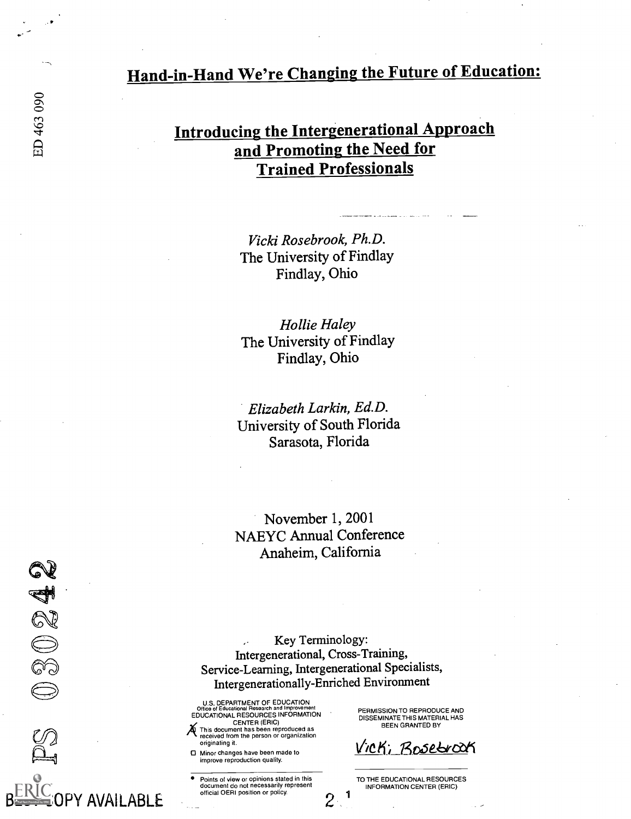# Hand-in-Hand We're Changing the Future of Education:

# Introducing the Intergenerational Approach and Promoting the Need for Trained Professionals

Vicki Rosebrook, Ph.D. The University of Findlay Findlay, Ohio

Hollie Haley The University of Findlay Findlay, Ohio

Elizabeth Larkin, Ed.D. University of South Florida Sarasota, Florida

November 1, 2001 NAEYC Annual Conference Anaheim, California

Key Terminology: Intergenerational, Cross-Training, Service-Learning, Intergenerational Specialists, Intergenerationally-Enriched Environment

1

 $2\,$ 

U.S. DEPARTMENT OF EDUCATION Office ot Educational Research and Improvement EDUCATIONAL RESOURCES INFORMATION

CENTER (ERIC) This document has been reproduced as received from the person or organization originating it.

0 Minor changes have been made to improve reproduction quality.

PY AVAII ABI E

Points of view or opinions stated in this document do not necessarily represent official OER1 position or policy.

PERMISSION TO REPRODUCE AND DISSEMINATE THIS MATERIAL HAS BEEN GRANTED BY

Vicki, Bosebroak

TO THE EDUCATIONAL RESOURCES INFORMATION CENTER (ERIC)

30242

 $\bigoplus$ 

w-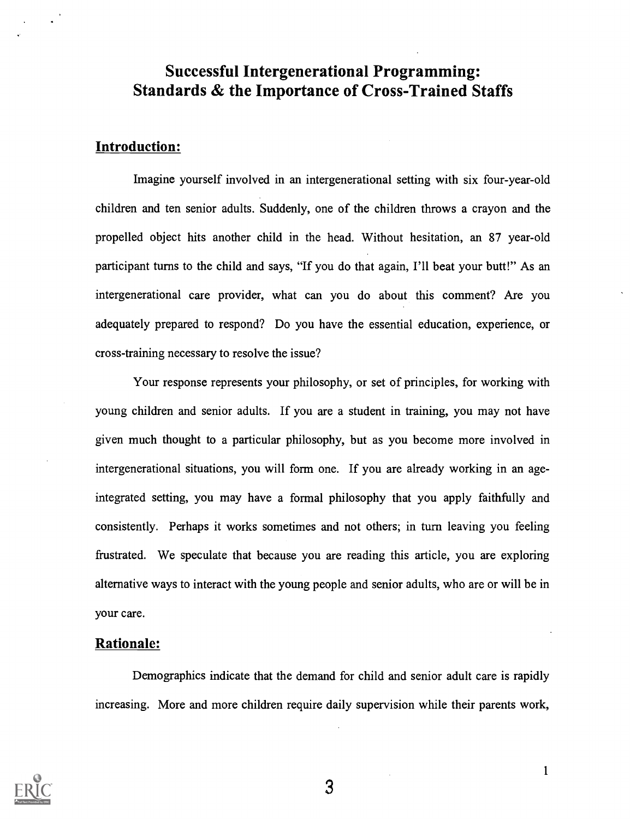# Successful Intergenerational Programming: Standards & the Importance of Cross-Trained Staffs

### Introduction:

Imagine yourself involved in an intergenerational setting with six four-year-old children and ten senior adults. Suddenly, one of the children throws a crayon and the propelled object hits another child in the head. Without hesitation, an 87 year-old participant turns to the child and says, "If you do that again, I'll beat your butt!" As an intergenerational care provider, what can you do about this comment? Are you adequately prepared to respond? Do you have the essential education, experience, or cross-training necessary to resolve the issue?

Your response represents your philosophy, or set of principles, for working with young children and senior adults. If you are a student in training, you may not have given much thought to a particular philosophy, but as you become more involved in intergenerational situations, you will form one. If you are already working in an ageintegrated setting, you may have a formal philosophy that you apply faithfully and consistently. Perhaps it works sometimes and not others; in turn leaving you feeling frustrated. We speculate that because you are reading this article, you are exploring alternative ways to interact with the young people and senior adults, who are or will be in your care.

#### Rationale:

Demographics indicate that the demand for child and senior adult care is rapidly increasing. More and more children require daily supervision while their parents work,

3

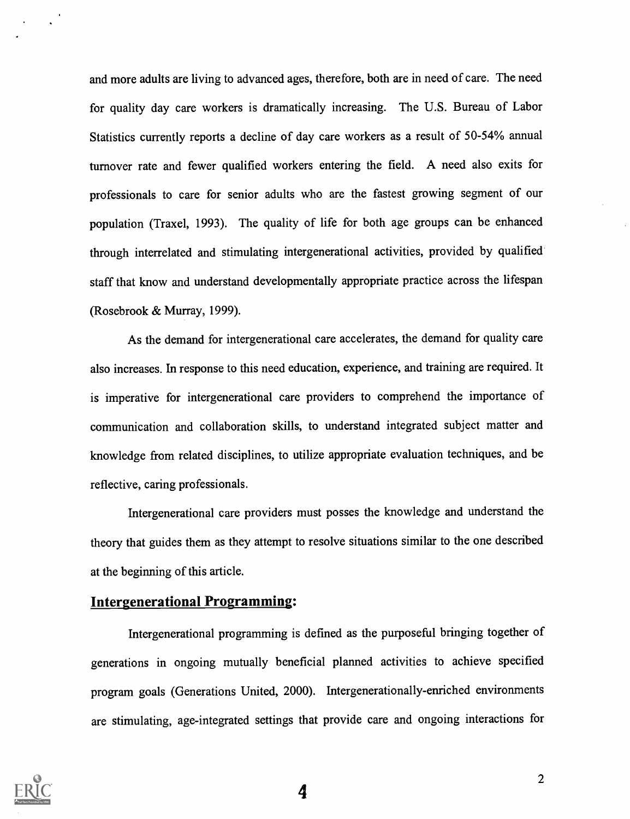and more adults are living to advanced ages, therefore, both are in need of care. The need for quality day care workers is dramatically increasing. The U.S. Bureau of Labor Statistics currently reports a decline of day care workers as a result of 50-54% annual turnover rate and fewer qualified workers entering the field. A need also exits for professionals to care for senior adults who are the fastest growing segment of our population (Traxel, 1993). The quality of life for both age groups can be enhanced through interrelated and stimulating intergenerational activities, provided by qualified staff that know and understand developmentally appropriate practice across the lifespan (Rosebrook & Murray, 1999).

As the demand for intergenerational care accelerates, the demand for quality care also increases. In response to this need education, experience, and training are required. It is imperative for intergenerational care providers to comprehend the importance of communication and collaboration skills, to understand integrated subject matter and knowledge from related disciplines, to utilize appropriate evaluation techniques, and be reflective, caring professionals.

Intergenerational care providers must posses the knowledge and understand the theory that guides them as they attempt to resolve situations similar to the one described at the beginning of this article.

### **Intergenerational Programming:**

Intergenerational programming is defined as the purposeful bringing together of generations in ongoing mutually beneficial planned activities to achieve specified program goals (Generations United, 2000). Intergenerationally-enriched environments are stimulating, age-integrated settings that provide care and ongoing interactions for

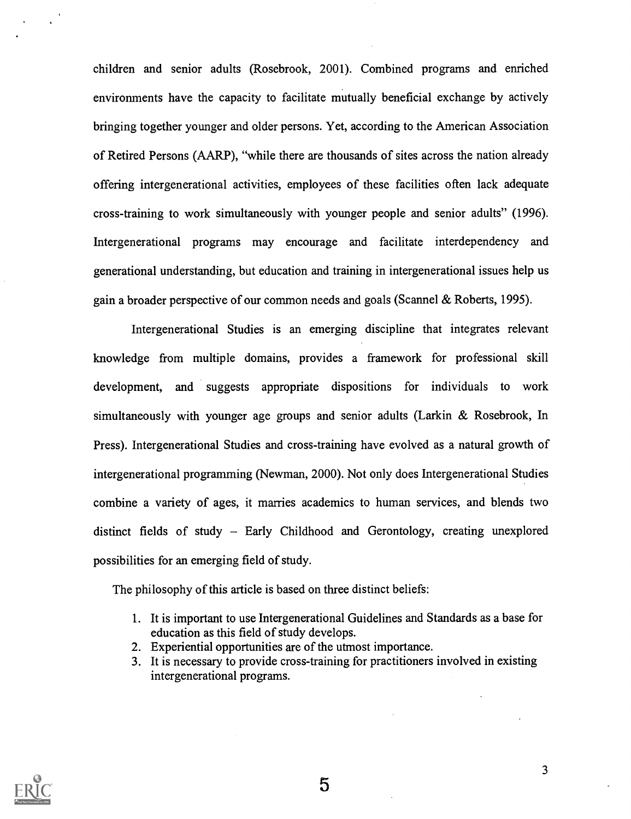children and senior adults (Rosebrook, 2001). Combined programs and enriched environments have the capacity to facilitate mutually beneficial exchange by actively bringing together younger and older persons. Yet, according to the American Association of Retired Persons (AARP), "while there are thousands of sites across the nation already offering intergenerational activities, employees of these facilities often lack adequate cross-training to work simultaneously with younger people and senior adults" (1996). Intergenerational programs may encourage and facilitate interdependency and generational understanding, but education and training in intergenerational issues help us gain a broader perspective of our common needs and goals (Scannel & Roberts, 1995).

Intergenerational Studies is an emerging discipline that integrates relevant knowledge from multiple domains, provides a framework for professional skill development, and suggests appropriate dispositions for individuals to work simultaneously with younger age groups and senior adults (Larkin  $\&$  Rosebrook, In Press). Intergenerational Studies and cross-training have evolved as a natural growth of intergenerational programming (Newman, 2000). Not only does Intergenerational Studies combine a variety of ages, it marries academics to human services, and blends two distinct fields of study - Early Childhood and Gerontology, creating unexplored possibilities for an emerging field of study.

The philosophy of this article is based on three distinct beliefs:

- 1. It is important to use Intergenerational Guidelines and Standards as a base for education as this field of study develops.
- 2. Experiential opportunities are of the utmost importance.
- 3. It is necessary to provide cross-training for practitioners involved in existing intergenerational programs.



5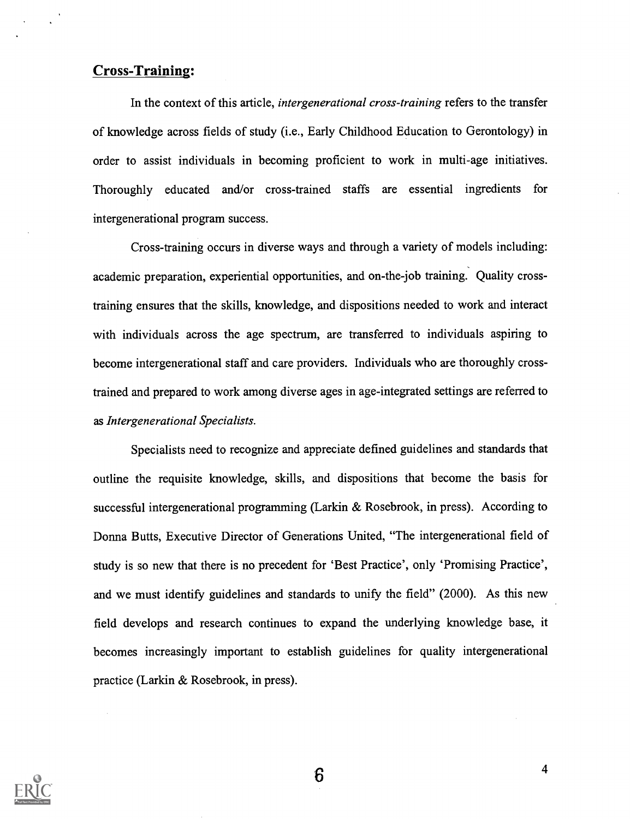### Cross-Training:

In the context of this article, *intergenerational cross-training* refers to the transfer of knowledge across fields of study (i.e., Early Childhood Education to Gerontology) in order to assist individuals in becoming proficient to work in multi-age initiatives. Thoroughly educated and/or cross-trained staffs are essential ingredients for intergenerational program success.

Cross-training occurs in diverse ways and through a variety of models including: academic preparation, experiential opportunities, and on-the-job training. Quality crosstraining ensures that the skills, knowledge, and dispositions needed to work and interact with individuals across the age spectrum, are transferred to individuals aspiring to become intergenerational staff and care providers. Individuals who are thoroughly crosstrained and prepared to work among diverse ages in age-integrated settings are referred to as Intergenerational Specialists.

Specialists need to recognize and appreciate defined guidelines and standards that outline the requisite knowledge, skills, and dispositions that become the basis for successful intergenerational programming (Larkin & Rosebrook, in press). According to Donna Butts, Executive Director of Generations United, "The intergenerational field of study is so new that there is no precedent for 'Best Practice', only 'Promising Practice', and we must identify guidelines and standards to unify the field" (2000). As this new field develops and research continues to expand the underlying knowledge base, it becomes increasingly important to establish guidelines for quality intergenerational practice (Larkin & Rosebrook, in press).



 $6\phantom{1}6$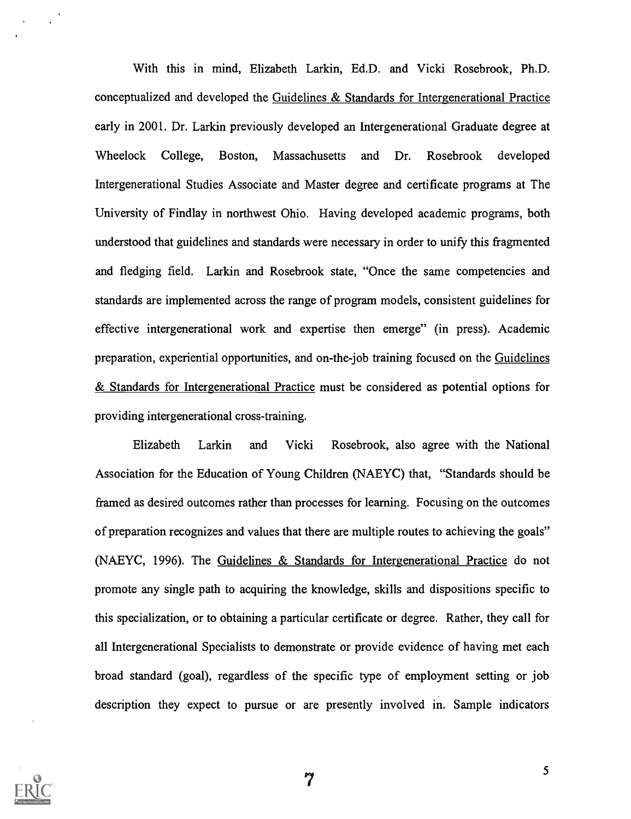With this in mind, Elizabeth Larkin, Ed.D. and Vicki Rosebrook, Ph.D. conceptualized and developed the Guidelines & Standards for Intergenerational Practice early in 2001. Dr. Larkin previously developed an Intergenerational Graduate degree at Wheelock College, Boston, Massachusetts and Dr. Rosebrook developed Intergenerational Studies Associate and Master degree and certificate programs at The University of Findlay in northwest Ohio. Having developed academic programs, both understood that guidelines and standards were necessary in order to unify this fragmented and fledging field. Larkin and Rosebrook state, "Once the same competencies and standards are implemented across the range of program models, consistent guidelines for effective intergenerational work and expertise then emerge" (in press). Academic preparation, experiential opportunities, and on-the-job training focused on the Guidelines & Standards for Intergenerational Practice must be considered as potential options for providing intergenerational cross-training.

Elizabeth Larkin and Vicki Rosebrook, also agree with the National Association for the Education of Young Children (NAEYC) that, "Standards should be framed as desired outcomes rather than processes for learning. Focusing on the outcomes of preparation recognizes and values that there are multiple routes to achieving the goals" (NAEYC, 1996). The Guidelines & Standards for Intergenerational Practice do not promote any single path to acquiring the knowledge, skills and dispositions specific to this specialization, or to obtaining a particular certificate or degree. Rather, they call for all Intergenerational Specialists to demonstrate or provide evidence of having met each broad standard (goal), regardless of the specific type of employment setting or job description they expect to pursue or are presently involved in. Sample indicators

7

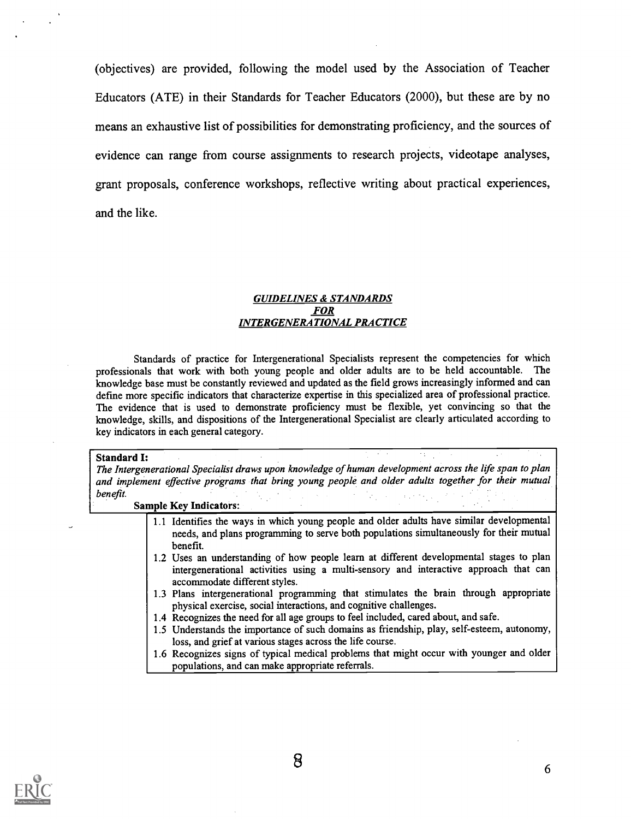(objectives) are provided, following the model used by the Association of Teacher Educators (ATE) in their Standards for Teacher Educators (2000), but these are by no means an exhaustive list of possibilities for demonstrating proficiency, and the sources of evidence can range from course assignments to research projects, videotape analyses, grant proposals, conference workshops, reflective writing about practical experiences, and the like.

#### GUIDELINES & STANDARDS FOR INTERGENERATIONAL PRACTICE

Standards of practice for Intergenerational Specialists represent the competencies for which professionals that work with both young people and older adults are to be held accountable. The knowledge base must be constantly reviewed and updated as the field grows increasingly informed and can defme more specific indicators that characterize expertise in this specialized area of professional practice. The evidence that is used to demonstrate proficiency must be flexible, yet convincing so that the knowledge, skills, and dispositions of the Intergenerational Specialist are clearly articulated according to key indicators in each general category.

#### Standard I:

The Intergenerational Specialist draws upon knowledge of human development across the life span to plan and implement effective programs that bring young people and older adults together for their mutual benefit.

| <b>Sample Key Indicators:</b> |  |
|-------------------------------|--|
|-------------------------------|--|

- 1.1 Identifies the ways in which young people and older adults have similar developmental needs, and plans programming to serve both populations simultaneously for their mutual benefit.
- 1.2 Uses an understanding of how people learn at different developmental stages to plan intergenerational activities using a multi-sensory and interactive approach that can accommodate different styles.
- 1.3 Plans intergenerational programming that stimulates the brain through appropriate physical exercise, social interactions, and cognitive challenges.
- 1.4 Recognizes the need for all age groups to feel included, cared about, and safe.
- 1.5 Understands the importance of such domains as friendship, play, self-esteem, autonomy, loss, and grief at various stages across the life course.
- 1.6 Recognizes signs of typical medical problems that might occur with younger and older populations, and can make appropriate referrals.

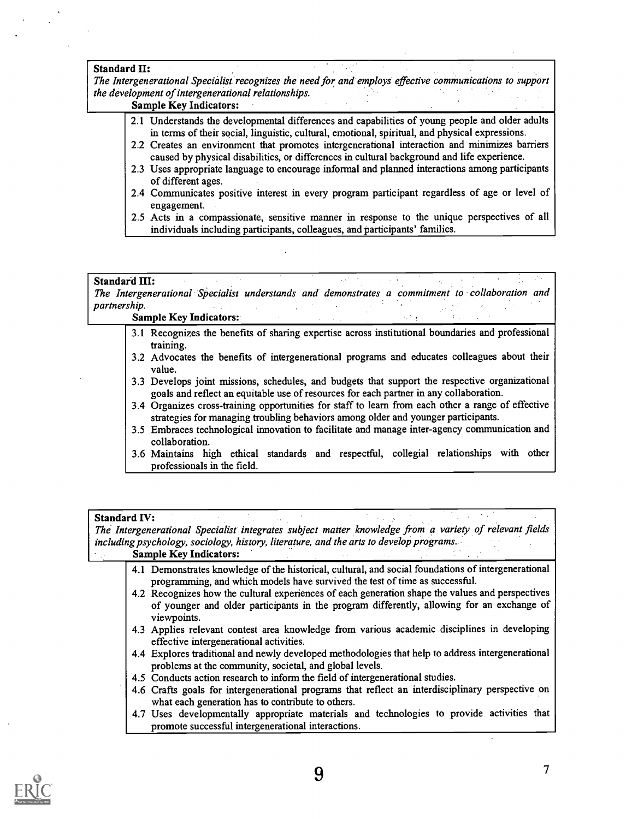#### Standard II:

The Intergenerational Specialist recognizes the need for and employs effective communications to support the development of intergenerational relationships.

#### Sample Key Indicators:

- 2.1 Understands the developmental differences and capabilities of young people and older adults in terms of their social, linguistic, cultural, emotional, spiritual, and physical expressions.
- 2.2 Creates an environment that promotes intergenerational interaction and minimizes barriers caused by physical disabilities, or differences in cultural background and life experience.
- 2.3 Uses appropriate language to encourage informal and planned interactions among participants of different ages.
- 2.4 Communicates positive interest in every program participant regardless of age or level of engagement.
- 2.5 Acts in a compassionate, sensitive manner in response to the unique perspectives of all individuals including participants, colleagues, and participants' families.

#### Standard III:

The Intergenerational Specialist understands and demonstrates a commitment to collaboration and partnership.  $\sim 10^7$ in Li  $\sim 10^{-1}$  $\sim 10^7$ 

#### Sample Key Indicators:

- 3.1 Recognizes the benefits of sharing expertise across institutional boundaries and professional training.
- 3.2 Advocates the benefits of intergenerational programs and educates colleagues about their value.
- 3.3 Develops joint missions, schedules, and budgets that support the respective organizational goals and reflect an equitable use of resources for each partner in any collaboration.
- 3.4 Organizes cross-training opportunities for staff to learn from each other a range of effective strategies for managing troubling behaviors among older and younger participants.
- 3.5 Embraces technological innovation to facilitate and manage inter-agency communication and collaboration.
- 3.6 Maintains high ethical standards and respectful, collegial relationships with other professionals in the field.

#### Standard IV: The Intergenerational Specialist integrates subject matter knowledge from a variety of relevant fields including psychology, sociology, history, literature, and the arts to develop programs. Sample Key Indicators: 4.1 Demonstrates knowledge of the historical, cultural, and social foundations of intergenerational programming, and which models have survived the test of time as successful. 4.2 Recognizes how the cultural experiences of each generation shape the values and perspectives of younger and older participants in the program differently, allowing for an exchange of viewpoints. 4.3 Applies relevant contest area knowledge from various academic disciplines in developing effective intergenerational activities. 4.4 Explores traditional and newly developed methodologies that help to address intergenerational problems at the community, societal, and global levels. 4.5 Conducts action research to inform the field of intergenerational studies. 4.6 Crafts goals for intergenerational programs that reflect an interdisciplinary perspective on what each generation has to contribute to others. 4.7 Uses developmentally appropriate materials and technologies to provide activities that promote successful intergenerational interactions.

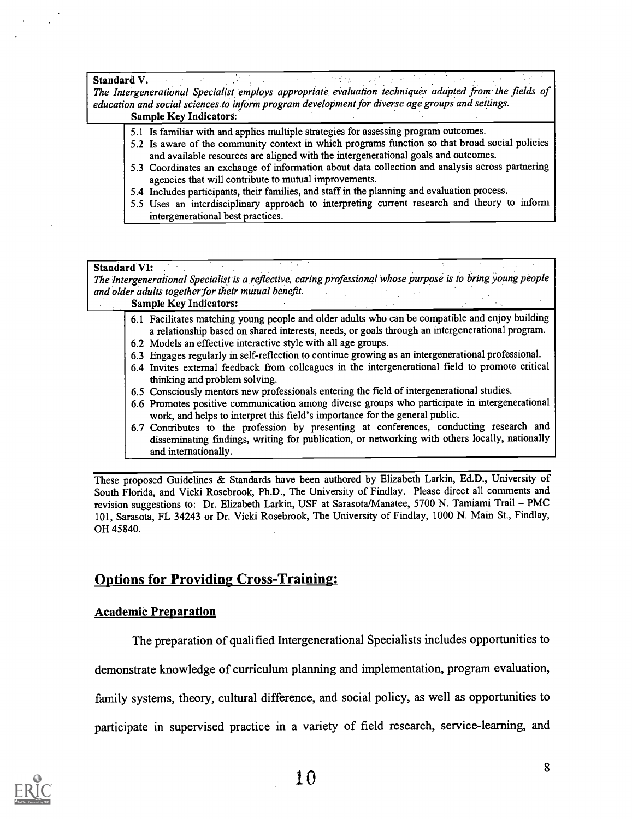#### Standard V.

The Intergenerational Specialist employs appropriate evaluation techniques adapted \_from the fields of education and social sciences to inform program development for diverse age groups and settings. Sample Key Indicators:

- 5.1 Is familiar with and applies multiple strategies for assessing program outcomes.
- 5.2 Is aware of the community context in which programs function so that broad social policies and available resources are aligned with the intergenerational goals and outcomes.

 $\epsilon$  of  $\epsilon$  .

- 5.3 Coordinates an exchange of information about data collection and analysis across partnering agencies that will contribute to mutual improvements.
- 5.4 Includes participants, their families, and staff in the planning and evaluation process.
- 5.5 Uses an interdisciplinary approach to interpreting current research and theory to inform intergenerational best practices.

#### Standard VI:

The Intergenerational Specialist is a reflective, caring professional whose purpose is to bring young people and older adults together for their mutual benefit.

#### Sample Key Indicators:

- 6.1 Facilitates matching young people and older adults who can be compatible and enjoy building a relationship based on shared interests, needs, or goals through an intergenerational program.
- 6.2 Models an effective interactive style with all age groups.
- 6.3 Engages regularly in self-reflection to continue growing as an intergenerational professional.
- 6.4 Invites external feedback from colleagues in the intergenerational field to promote critical thinking and problem solving.
- 6.5 Consciously mentors new professionals entering the field of intergenerational studies.
- 6.6 Promotes positive communication among diverse groups who participate in intergenerational work, and helps to interpret this field's importance for the general public.
- 6.7 Contributes to the profession by presenting at conferences, conducting research and disseminating fmdings, writing for publication, or networking with others locally, nationally and internationally.

These proposed Guidelines & Standards have been authored by Elizabeth Larkin, Ed.D., University of South Florida, and Vicki Rosebrook, Ph.D., The University of Findlay. Please direct all comments and revision suggestions to: Dr. Elizabeth Larkin, USF at Sarasota/Manatee, 5700 N. Tamiami Trail PMC 101, Sarasota, FL 34243 or Dr. Vicki Rosebrook, The University of Findlay, 1000 N. Main St., Findlay, OH 45840.

### Options for Providing Cross-Training:

#### Academic Preparation

The preparation of qualified Intergenerational Specialists includes opportunities to

demonstrate knowledge of curriculum planning and implementation, program evaluation,

family systems, theory, cultural difference, and social policy, as well as opportunities to

participate in supervised practice in a variety of field research, service-learning, and

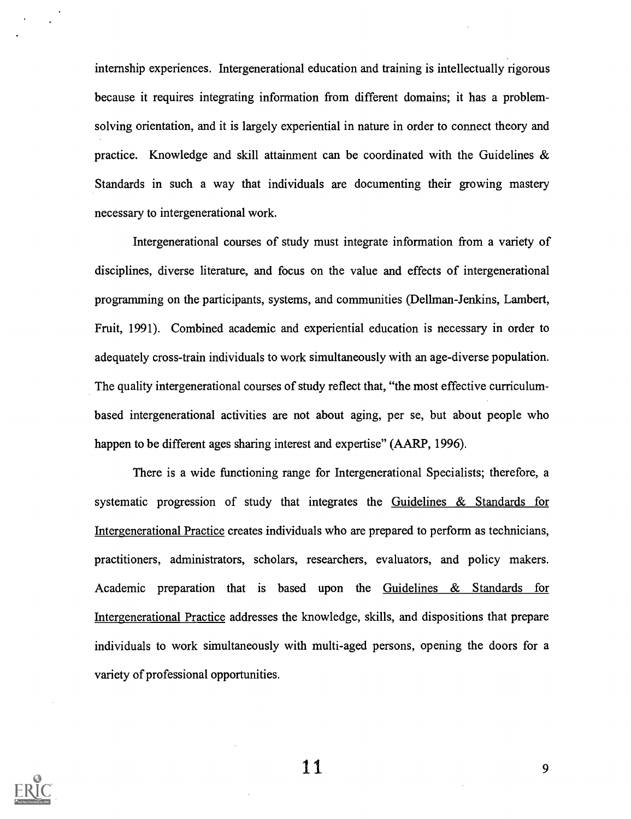internship experiences. Intergenerational education and training is intellectually rigorous because it requires integrating information from different domains; it has a problemsolving orientation, and it is largely experiential in nature in order to connect theory and practice. Knowledge and skill attainment can be coordinated with the Guidelines  $\&$ Standards in such a way that individuals are documenting their growing mastery necessary to intergenerational work.

Intergenerational courses of study must integrate information from a variety of disciplines, diverse literature, and focus on the value and effects of intergenerational programming on the participants, systems, and communities (Dellman-Jenkins, Lambert, Fruit, 1991). Combined academic and experiential education is necessary in order to adequately cross-train individuals to work simultaneously with an age-diverse population. The quality intergenerational courses of study reflect that, "the most effective curriculumbased intergenerational activities are not about aging, per se, but about people who happen to be different ages sharing interest and expertise" (AARP, 1996).

There is a wide functioning range for Intergenerational Specialists; therefore, a systematic progression of study that integrates the Guidelines & Standards for Intergenerational Practice creates individuals who are prepared to perform as technicians, practitioners, administrators, scholars, researchers, evaluators, and policy makers. Academic preparation that is based upon the Guidelines & Standards for Intergenerational Practice addresses the knowledge, skills, and dispositions that prepare individuals to work simultaneously with multi-aged persons, opening the doors for a variety of professional opportunities.



1 1 9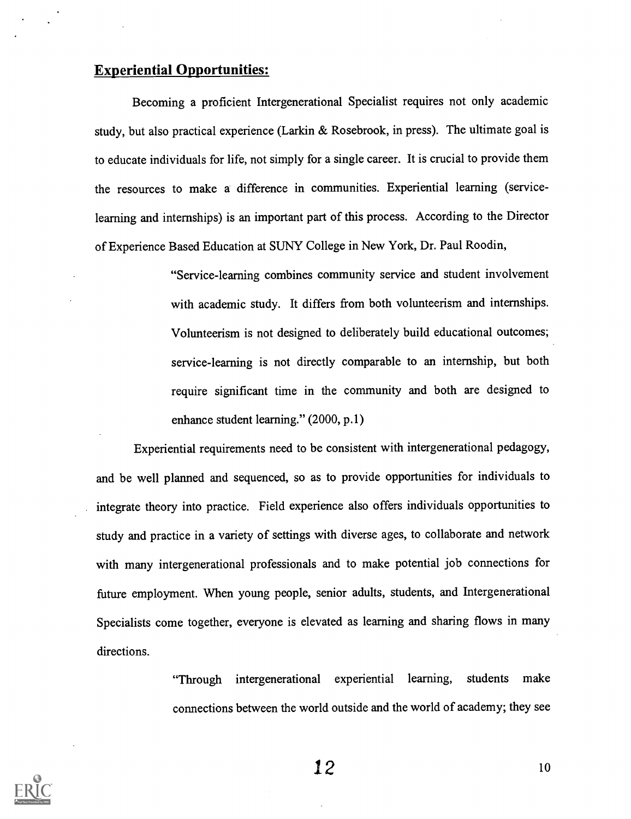## Experiential Opportunities:

Becoming a proficient Intergenerational Specialist requires not only academic study, but also practical experience (Larkin & Rosebrook, in press). The ultimate goal is to educate individuals for life, not simply for a single career. It is crucial to provide them the resources to make a difference in communities. Experiential learning (servicelearning and internships) is an important part of this process. According to the Director of Experience Based Education at SUNY College in New York, Dr. Paul Roodin,

> "Service-learning combines community service and student involvement with academic study. It differs from both volunteerism and internships. Volunteerism is not designed to deliberately build educational outcomes; service-learning is not directly comparable to an internship, but both require significant time in the community and both are designed to enhance student learning." (2000, p.1)

Experiential requirements need to be consistent with intergenerational pedagogy, and be well planned and sequenced, so as to provide opportunities for individuals to integrate theory into practice. Field experience also offers individuals opportunities to study and practice in a variety of settings with diverse ages, to collaborate and network with many intergenerational professionals and to make potential job connections for future employment. When young people, senior adults, students, and Intergenerational Specialists come together, everyone is elevated as learning and sharing flows in many directions.

> "Through intergenerational experiential learning, students make connections between the world outside and the world of academy; they see

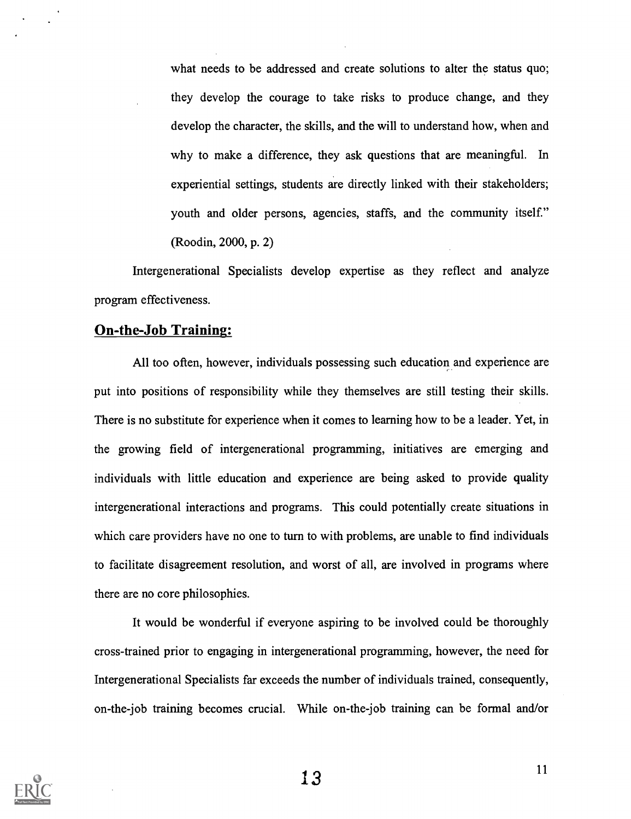what needs to be addressed and create solutions to alter the status quo; they develop the courage to take risks to produce change, and they develop the character, the skills, and the will to understand how, when and why to make a difference, they ask questions that are meaningful. In experiential settings, students are directly linked with their stakeholders; youth and older persons, agencies, staffs, and the community itself." (Roodin, 2000, p. 2)

Intergenerational Specialists develop expertise as they reflect and analyze program effectiveness.

### On-the-Job Training:

All too often, however, individuals possessing such education and experience are put into positions of responsibility while they themselves are still testing their skills. There is no substitute for experience when it comes to learning how to be a leader. Yet, in the growing field of intergenerational programming, initiatives are emerging and individuals with little education and experience are being asked to provide quality intergenerational interactions and programs. This could potentially create situations in which care providers have no one to turn to with problems, are unable to find individuals to facilitate disagreement resolution, and worst of all, are involved in programs where there are no core philosophies.

It would be wonderful if everyone aspiring to be involved could be thoroughly cross-trained prior to engaging in intergenerational programming, however, the need for Intergenerational Specialists far exceeds the number of individuals trained, consequently, on-the-job training becomes crucial. While on-the-job training can be formal and/or

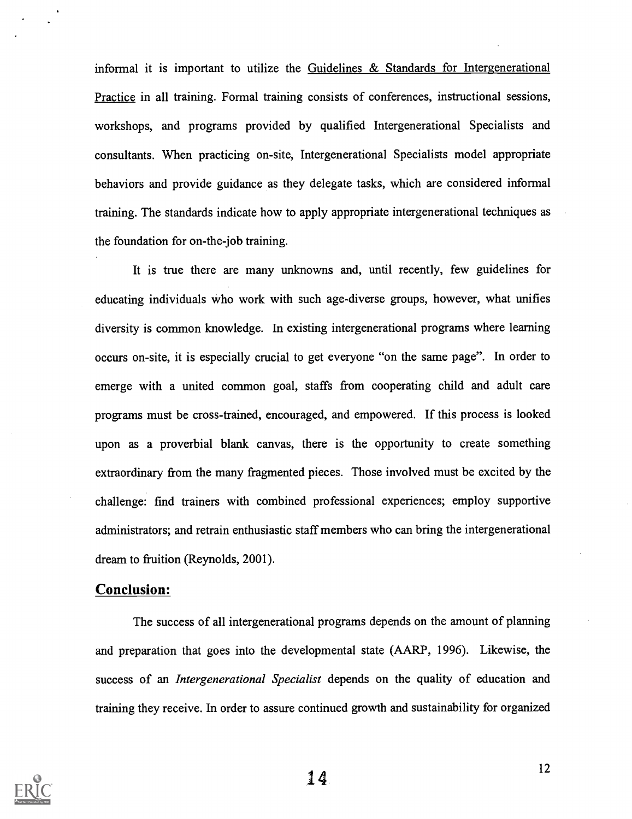informal it is important to utilize the Guidelines  $\&$  Standards for Intergenerational Practice in all training. Formal training consists of conferences, instructional sessions, workshops, and programs provided by qualified Intergenerational Specialists and consultants. When practicing on-site, Intergenerational Specialists model appropriate behaviors and provide guidance as they delegate tasks, which are considered informal training. The standards indicate how to apply appropriate intergenerational techniques as the foundation for on-the-job training.

It is true there are many unknowns and, until recently, few guidelines for educating individuals who work with such age-diverse groups, however, what unifies diversity is common knowledge. In existing intergenerational programs where learning occurs on-site, it is especially crucial to get everyone "on the same page". In order to emerge with a united common goal, staffs from cooperating child and adult care programs must be cross-trained, encouraged, and empowered. If this process is looked upon as a proverbial blank canvas, there is the opportunity to create something extraordinary from the many fragmented pieces. Those involved must be excited by the challenge: find trainers with combined professional experiences; employ supportive administrators; and retrain enthusiastic staff members who can bring the intergenerational dream to fruition (Reynolds, 2001).

### Conclusion:

The success of all intergenerational programs depends on the amount of planning and preparation that goes into the developmental state (AARP, 1996). Likewise, the success of an *Intergenerational Specialist* depends on the quality of education and training they receive. In order to assure continued growth and sustainability for organized

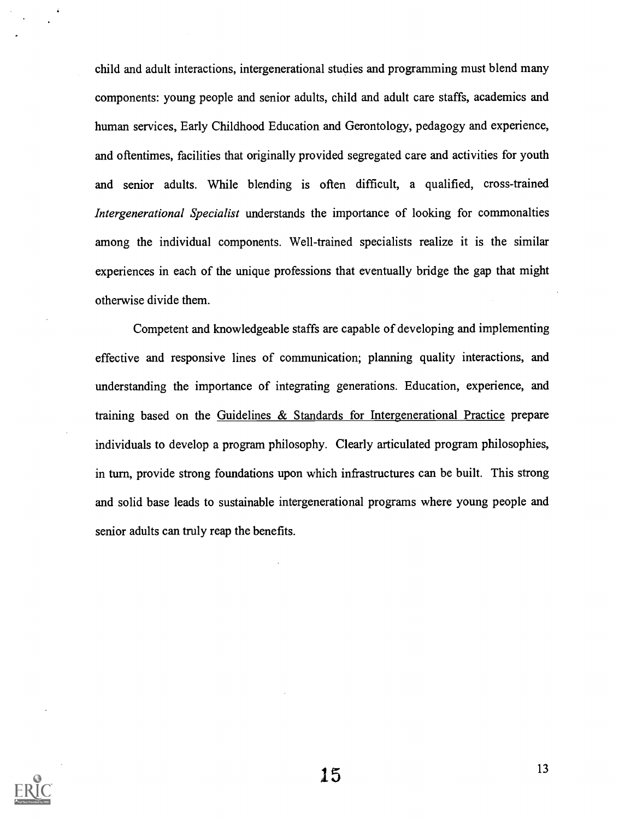child and adult interactions, intergenerational studies and programming must blend many components: young people and senior adults, child and adult care staffs, academics and human services, Early Childhood Education and Gerontology, pedagogy and experience, and oftentimes, facilities that originally provided segregated care and activities for youth and senior adults. While blending is often difficult, a qualified, cross-trained Intergenerational Specialist understands the importance of looking for commonalties among the individual components. Well-trained specialists realize it is the similar experiences in each of the unique professions that eventually bridge the gap that might otherwise divide them.

Competent and knowledgeable staffs are capable of developing and implementing effective and responsive lines of communication; planning quality interactions, and understanding the importance of integrating generations. Education, experience, and training based on the Guidelines & Standards for Intergenerational Practice prepare individuals to develop a program philosophy. Clearly articulated program philosophies, in turn, provide strong foundations upon which infrastructures can be built. This strong and solid base leads to sustainable intergenerational programs where young people and senior adults can truly reap the benefits.

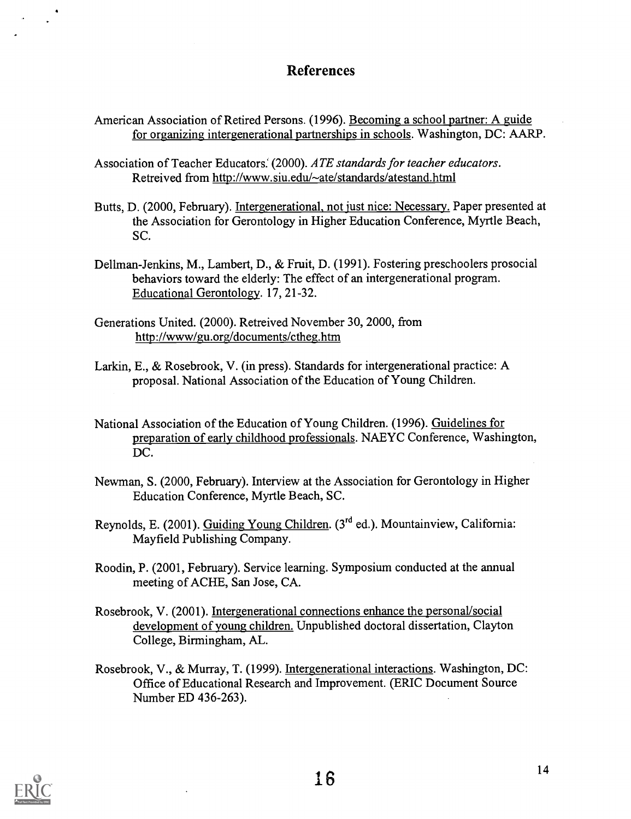### **References**

American Association of Retired Persons. (1996). Becoming a school partner: A guide for organizing intergenerational partnerships in schools. Washington, DC: AARP.

Association of Teacher Educators. (2000). ATE standards for teacher educators. Retreived from http://www.siu.edu/~ate/standards/atestand.html

- Butts, D. (2000, February). Intergenerational, not just nice: Necessary. Paper presented at the Association for Gerontology in Higher Education Conference, Myrtle Beach, SC.
- Dellman-Jenkins, M., Lambert, D., & Fruit, D. (1991). Fostering preschoolers prosocial behaviors toward the elderly: The effect of an intergenerational program. Educational Gerontology. 17, 21-32.
- Generations United. (2000). Retreived November 30, 2000, from http://www/gu.org/documents/ctheg.htm
- Larkin, E., & Rosebrook, V. (in press). Standards for intergenerational practice: A proposal. National Association of the Education of Young Children.
- National Association of the Education of Young Children. (1996). Guidelines for preparation of early childhood professionals. NAEYC Conference, Washington, DC.
- Newman, S. (2000, February). Interview at the Association for Gerontology in Higher Education Conference, Myrtle Beach, SC.
- Reynolds, E. (2001). Guiding Young Children. (3rd ed.). Mountainview, California: Mayfield Publishing Company.
- Roodin, P. (2001, February). Service learning. Symposium conducted at the annual meeting of ACHE, San Jose, CA.
- Rosebrook, V. (2001). Intergenerational connections enhance the personal/social development of young children. Unpublished doctoral dissertation, Clayton College, Birmingham, AL.
- Rosebrook, V., & Murray, T. (1999). Intergenerational interactions. Washington, DC: Office of Educational Research and Improvement. (ERIC Document Source Number ED 436-263).

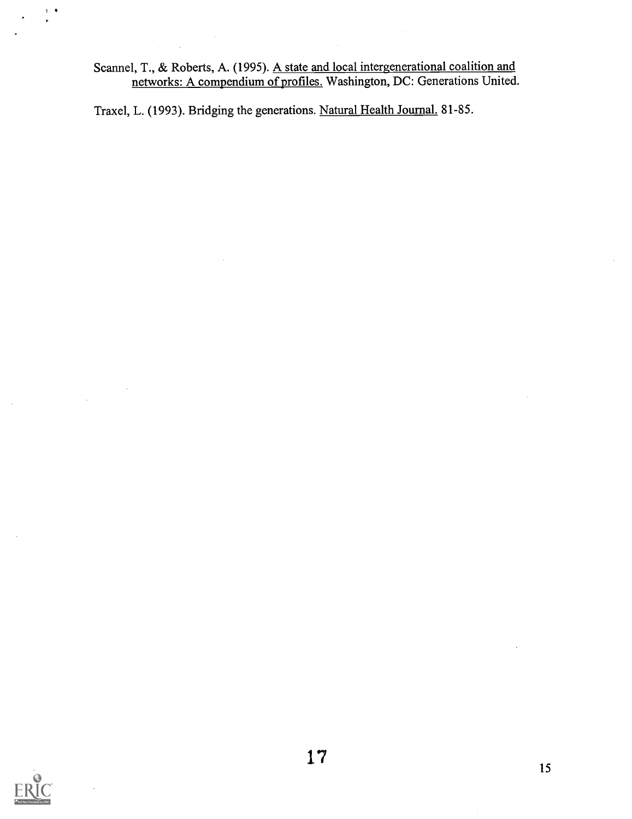Scannel, T., & Roberts, A. (1995). <u>A state and local intergenerational coalition and</u> networks: A compendium of profiles. Washington, DC: Generations United.

Traxel, L. (1993). Bridging the generations. Natural Health Journal. 81-85.



 $\ddot{\nu}$  $\bullet$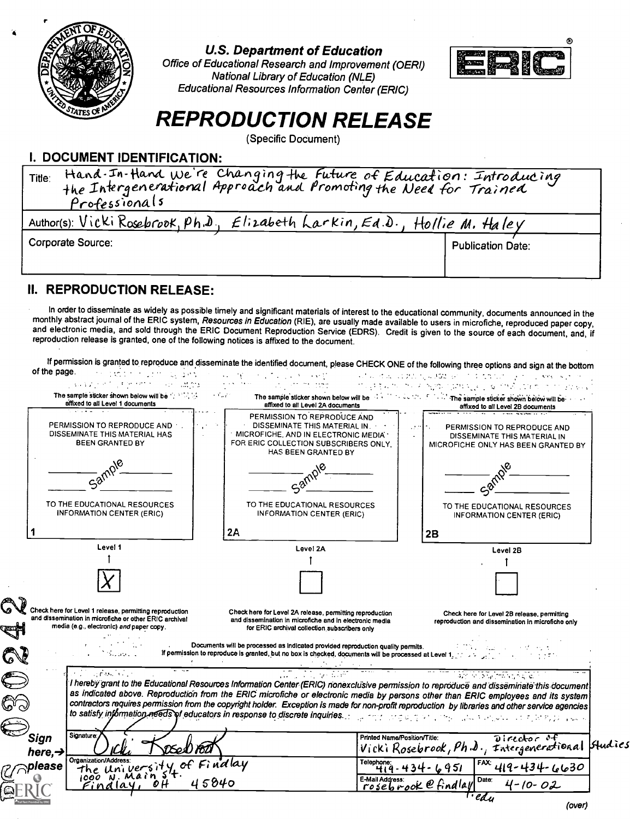

### U.S. Department of Education

Office of Educational Research and Improvement (OERI) National Library of Education (NLE) Educational Resources Information Center (ERIC)



# REPRODUCTION RELEASE

(Specific Document)

### I. DOCUMENT IDENTIFICATION:

| Author(s): Vicki Rosebrook, Ph.D., Elizabeth Larkin, Ed.D., Hollie M. Haley<br>Corporate Source:<br><b>Publication Date:</b> | Hand. In-Hand We're Changing the Future of Education: Introducing<br>the Intergenerational Approach and Promoting the Need for Trained<br>Title:<br>Professionals |  |  |
|------------------------------------------------------------------------------------------------------------------------------|-------------------------------------------------------------------------------------------------------------------------------------------------------------------|--|--|
|                                                                                                                              |                                                                                                                                                                   |  |  |
|                                                                                                                              |                                                                                                                                                                   |  |  |

### II. REPRODUCTION RELEASE:

In order to disseminate as widely as possible timely and significant materials of interest to the educational community, documents announced in the monthly abstract journal of the ERIC system, Resources in Education (RIE), and electronic media, and sold through the ERIC Document Reproduction Service (EDRS). Credit is given to the source of each document, and, if reproduction release is granted, one of the following notices is affixed to the

If permission is granted to reproduce and disseminate the identified document, please CHECK ONE of the following three options and sign at the bottom<br>he page. of the page.

| affixed to all Level 2B documents<br>PERMISSION TO REPRODUCE AND<br>PERMISSION TO REPRODUCE AND<br>DISSEMINATE THIS MATERIAL IN.<br>PERMISSION TO REPRODUCE AND<br>DISSEMINATE THIS MATERIAL HAS<br>MICROFICHE, AND IN ELECTRONIC MEDIA *<br>DISSEMINATE THIS MATERIAL IN<br>BEEN GRANTED BY<br>FOR ERIC COLLECTION SUBSCRIBERS ONLY,<br>MICROFICHE ONLY HAS BEEN GRANTED BY<br>HAS BEEN GRANTED BY<br>58 <sup>6</sup><br>TO THE EDUCATIONAL RESOURCES<br>TO THE EDUCATIONAL RESOURCES<br>TO THE EDUCATIONAL RESOURCES<br><b>INFORMATION CENTER (ERIC)</b><br>INFORMATION CENTER (ERIC)<br><b>INFORMATION CENTER (ERIC)</b><br>2A<br>2B<br>Level 1<br>Level 2A<br>Level 2B<br>Check here for Level 1 release, permitting reproduction<br>Check here for Level 2A release, permitting reproduction<br>Check here for Level 2B release, permitting<br>and dissemination in microfiche or other ERIC archival<br>and dissemination in microfiche and in electronic media<br>reproduction and dissemination in microfiche only<br>media (e.g., electronic) and paper copy.<br>for ERIC archival collection subscribers only<br>Documents will be processed as indicated provided reproduction quality permits.<br>If permission to reproduce is granted, but no box is checked, documents will be processed at Level 1, where the control of the control of the processed at Level 1, where the control of the control of the control of the pro<br>in a passion is a<br>់ រដ្ឋានប្រើ ដែលព្រះរៀង ក្នុងភូមិភ្នាក់<br>ប្រា<br>I hereby grant to the Educational Resources Information Center (ERIC) nonexclusive permission to reproduce and disseminate this document<br>as indicated above. Reproduction from the ERIC microfiche or electronic media by persons other than ERIC employees and its system<br>contractors requires permission from the copyright holder. Exception is made for non-profit reproduction by libraries and other service agencies<br>to satisfy information needs of educators in response to discrete inquiries. The state of the second teacher and service in the second second |  |
|------------------------------------------------------------------------------------------------------------------------------------------------------------------------------------------------------------------------------------------------------------------------------------------------------------------------------------------------------------------------------------------------------------------------------------------------------------------------------------------------------------------------------------------------------------------------------------------------------------------------------------------------------------------------------------------------------------------------------------------------------------------------------------------------------------------------------------------------------------------------------------------------------------------------------------------------------------------------------------------------------------------------------------------------------------------------------------------------------------------------------------------------------------------------------------------------------------------------------------------------------------------------------------------------------------------------------------------------------------------------------------------------------------------------------------------------------------------------------------------------------------------------------------------------------------------------------------------------------------------------------------------------------------------------------------------------------------------------------------------------------------------------------------------------------------------------------------------------------------------------------------------------------------------------------------------------------------------------------------------------------------------------------------------------------------------------------------------------------------|--|
|                                                                                                                                                                                                                                                                                                                                                                                                                                                                                                                                                                                                                                                                                                                                                                                                                                                                                                                                                                                                                                                                                                                                                                                                                                                                                                                                                                                                                                                                                                                                                                                                                                                                                                                                                                                                                                                                                                                                                                                                                                                                                                            |  |
|                                                                                                                                                                                                                                                                                                                                                                                                                                                                                                                                                                                                                                                                                                                                                                                                                                                                                                                                                                                                                                                                                                                                                                                                                                                                                                                                                                                                                                                                                                                                                                                                                                                                                                                                                                                                                                                                                                                                                                                                                                                                                                            |  |
|                                                                                                                                                                                                                                                                                                                                                                                                                                                                                                                                                                                                                                                                                                                                                                                                                                                                                                                                                                                                                                                                                                                                                                                                                                                                                                                                                                                                                                                                                                                                                                                                                                                                                                                                                                                                                                                                                                                                                                                                                                                                                                            |  |
|                                                                                                                                                                                                                                                                                                                                                                                                                                                                                                                                                                                                                                                                                                                                                                                                                                                                                                                                                                                                                                                                                                                                                                                                                                                                                                                                                                                                                                                                                                                                                                                                                                                                                                                                                                                                                                                                                                                                                                                                                                                                                                            |  |
|                                                                                                                                                                                                                                                                                                                                                                                                                                                                                                                                                                                                                                                                                                                                                                                                                                                                                                                                                                                                                                                                                                                                                                                                                                                                                                                                                                                                                                                                                                                                                                                                                                                                                                                                                                                                                                                                                                                                                                                                                                                                                                            |  |
|                                                                                                                                                                                                                                                                                                                                                                                                                                                                                                                                                                                                                                                                                                                                                                                                                                                                                                                                                                                                                                                                                                                                                                                                                                                                                                                                                                                                                                                                                                                                                                                                                                                                                                                                                                                                                                                                                                                                                                                                                                                                                                            |  |
|                                                                                                                                                                                                                                                                                                                                                                                                                                                                                                                                                                                                                                                                                                                                                                                                                                                                                                                                                                                                                                                                                                                                                                                                                                                                                                                                                                                                                                                                                                                                                                                                                                                                                                                                                                                                                                                                                                                                                                                                                                                                                                            |  |
|                                                                                                                                                                                                                                                                                                                                                                                                                                                                                                                                                                                                                                                                                                                                                                                                                                                                                                                                                                                                                                                                                                                                                                                                                                                                                                                                                                                                                                                                                                                                                                                                                                                                                                                                                                                                                                                                                                                                                                                                                                                                                                            |  |
|                                                                                                                                                                                                                                                                                                                                                                                                                                                                                                                                                                                                                                                                                                                                                                                                                                                                                                                                                                                                                                                                                                                                                                                                                                                                                                                                                                                                                                                                                                                                                                                                                                                                                                                                                                                                                                                                                                                                                                                                                                                                                                            |  |
| Signature:<br>Printed Name/Position/Title:<br>Sign<br>Director of<br>Vicki Rosebrook, Ph.D., Intergenerational Studies<br>here, $\rightarrow$                                                                                                                                                                                                                                                                                                                                                                                                                                                                                                                                                                                                                                                                                                                                                                                                                                                                                                                                                                                                                                                                                                                                                                                                                                                                                                                                                                                                                                                                                                                                                                                                                                                                                                                                                                                                                                                                                                                                                              |  |
| Organization/Address:<br>the University of Finalay<br>Telephone: $419 - 434 - 6951$<br>$FAX: 419 - 434 - 6630$<br>please<br>Date:                                                                                                                                                                                                                                                                                                                                                                                                                                                                                                                                                                                                                                                                                                                                                                                                                                                                                                                                                                                                                                                                                                                                                                                                                                                                                                                                                                                                                                                                                                                                                                                                                                                                                                                                                                                                                                                                                                                                                                          |  |
| $E$ -Mail Address:<br>rosebrook efindlay<br>45840<br>$4 - 10 - 02$<br>Findlay,<br>' ldu                                                                                                                                                                                                                                                                                                                                                                                                                                                                                                                                                                                                                                                                                                                                                                                                                                                                                                                                                                                                                                                                                                                                                                                                                                                                                                                                                                                                                                                                                                                                                                                                                                                                                                                                                                                                                                                                                                                                                                                                                    |  |